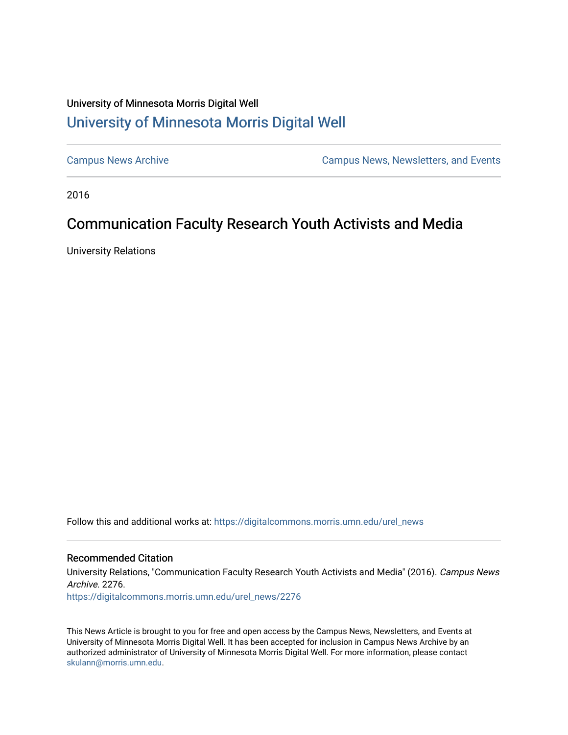## University of Minnesota Morris Digital Well [University of Minnesota Morris Digital Well](https://digitalcommons.morris.umn.edu/)

[Campus News Archive](https://digitalcommons.morris.umn.edu/urel_news) [Campus News, Newsletters, and Events](https://digitalcommons.morris.umn.edu/externalrel) 

2016

# Communication Faculty Research Youth Activists and Media

University Relations

Follow this and additional works at: [https://digitalcommons.morris.umn.edu/urel\\_news](https://digitalcommons.morris.umn.edu/urel_news?utm_source=digitalcommons.morris.umn.edu%2Furel_news%2F2276&utm_medium=PDF&utm_campaign=PDFCoverPages) 

#### Recommended Citation

University Relations, "Communication Faculty Research Youth Activists and Media" (2016). Campus News Archive. 2276.

[https://digitalcommons.morris.umn.edu/urel\\_news/2276](https://digitalcommons.morris.umn.edu/urel_news/2276?utm_source=digitalcommons.morris.umn.edu%2Furel_news%2F2276&utm_medium=PDF&utm_campaign=PDFCoverPages) 

This News Article is brought to you for free and open access by the Campus News, Newsletters, and Events at University of Minnesota Morris Digital Well. It has been accepted for inclusion in Campus News Archive by an authorized administrator of University of Minnesota Morris Digital Well. For more information, please contact [skulann@morris.umn.edu.](mailto:skulann@morris.umn.edu)